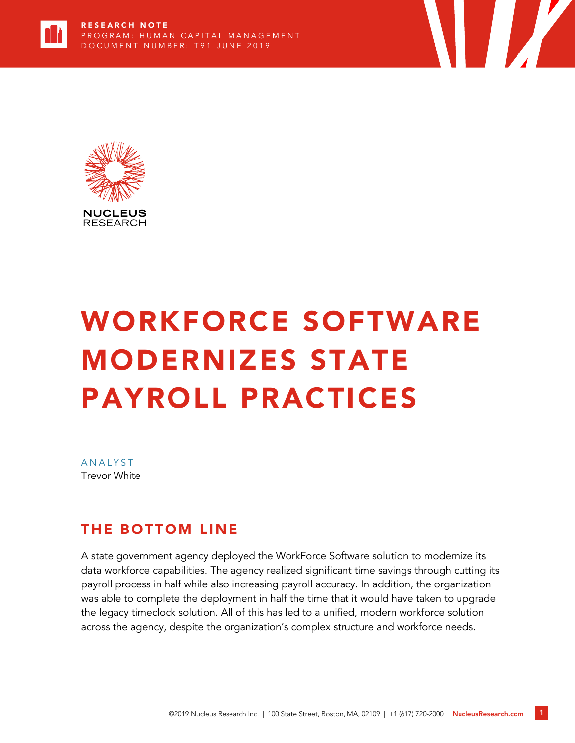



# WORKFORCE SOFTWARE MODERNIZES STATE PAYROLL PRACTICES

**ANALYST** Trevor White

#### THE BOTTOM LINE

A state government agency deployed the WorkForce Software solution to modernize its data workforce capabilities. The agency realized significant time savings through cutting its payroll process in half while also increasing payroll accuracy. In addition, the organization was able to complete the deployment in half the time that it would have taken to upgrade the legacy timeclock solution. All of this has led to a unified, modern workforce solution across the agency, despite the organization's complex structure and workforce needs.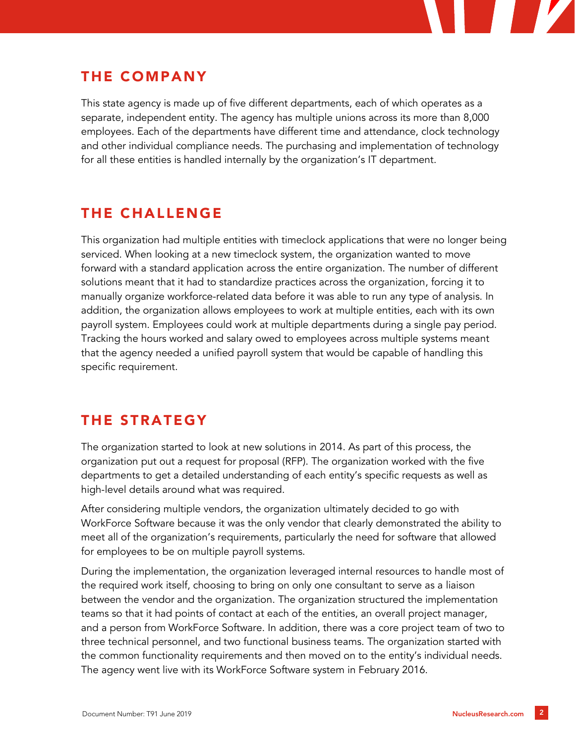

### THE COMPANY

This state agency is made up of five different departments, each of which operates as a separate, independent entity. The agency has multiple unions across its more than 8,000 employees. Each of the departments have different time and attendance, clock technology and other individual compliance needs. The purchasing and implementation of technology for all these entities is handled internally by the organization's IT department.

## THE CHALLENGE

This organization had multiple entities with timeclock applications that were no longer being serviced. When looking at a new timeclock system, the organization wanted to move forward with a standard application across the entire organization. The number of different solutions meant that it had to standardize practices across the organization, forcing it to manually organize workforce-related data before it was able to run any type of analysis. In addition, the organization allows employees to work at multiple entities, each with its own payroll system. Employees could work at multiple departments during a single pay period. Tracking the hours worked and salary owed to employees across multiple systems meant that the agency needed a unified payroll system that would be capable of handling this specific requirement.

#### THE STRATEGY

The organization started to look at new solutions in 2014. As part of this process, the organization put out a request for proposal (RFP). The organization worked with the five departments to get a detailed understanding of each entity's specific requests as well as high-level details around what was required.

After considering multiple vendors, the organization ultimately decided to go with WorkForce Software because it was the only vendor that clearly demonstrated the ability to meet all of the organization's requirements, particularly the need for software that allowed for employees to be on multiple payroll systems.

During the implementation, the organization leveraged internal resources to handle most of the required work itself, choosing to bring on only one consultant to serve as a liaison between the vendor and the organization. The organization structured the implementation teams so that it had points of contact at each of the entities, an overall project manager, and a person from WorkForce Software. In addition, there was a core project team of two to three technical personnel, and two functional business teams. The organization started with the common functionality requirements and then moved on to the entity's individual needs. The agency went live with its WorkForce Software system in February 2016.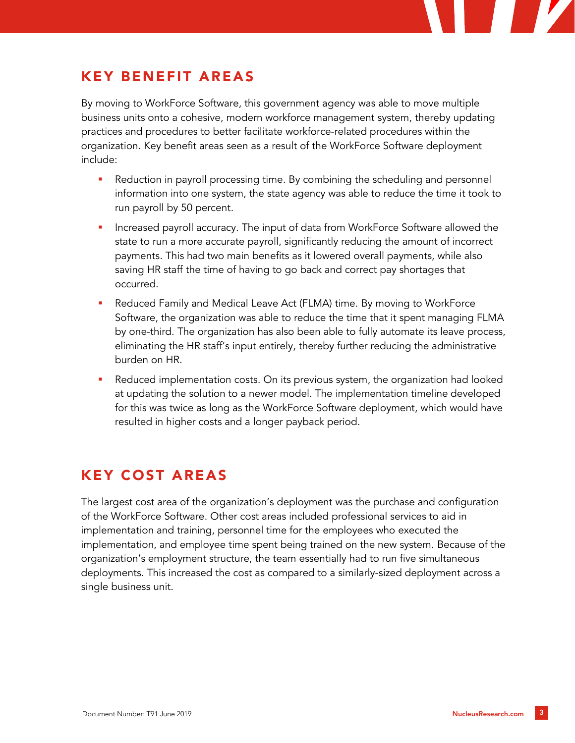

## KEY BENEFIT AREAS

By moving to WorkForce Software, this government agency was able to move multiple business units onto a cohesive, modern workforce management system, thereby updating practices and procedures to better facilitate workforce-related procedures within the organization. Key benefit areas seen as a result of the WorkForce Software deployment include:

- Reduction in payroll processing time. By combining the scheduling and personnel information into one system, the state agency was able to reduce the time it took to run payroll by 50 percent.
- Increased payroll accuracy. The input of data from WorkForce Software allowed the state to run a more accurate payroll, significantly reducing the amount of incorrect payments. This had two main benefits as it lowered overall payments, while also saving HR staff the time of having to go back and correct pay shortages that occurred.
- Reduced Family and Medical Leave Act (FLMA) time. By moving to WorkForce Software, the organization was able to reduce the time that it spent managing FLMA by one-third. The organization has also been able to fully automate its leave process, eliminating the HR staff's input entirely, thereby further reducing the administrative burden on HR.
- Reduced implementation costs. On its previous system, the organization had looked at updating the solution to a newer model. The implementation timeline developed for this was twice as long as the WorkForce Software deployment, which would have resulted in higher costs and a longer payback period.

## KEY COST AREAS

The largest cost area of the organization's deployment was the purchase and configuration of the WorkForce Software. Other cost areas included professional services to aid in implementation and training, personnel time for the employees who executed the implementation, and employee time spent being trained on the new system. Because of the organization's employment structure, the team essentially had to run five simultaneous deployments. This increased the cost as compared to a similarly-sized deployment across a single business unit.